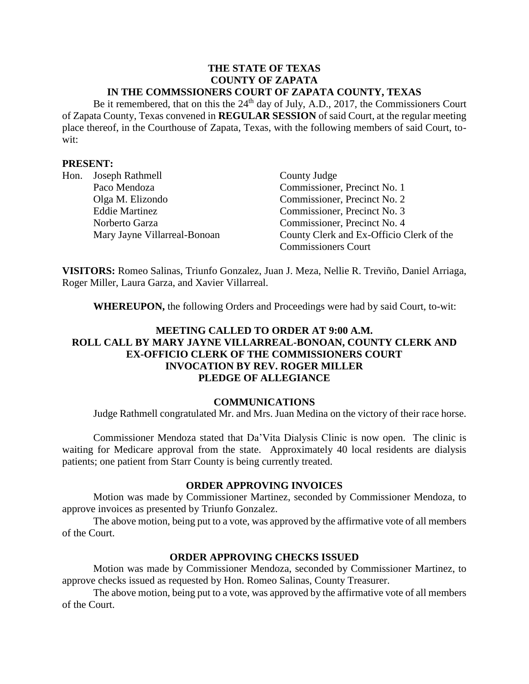#### **THE STATE OF TEXAS COUNTY OF ZAPATA IN THE COMMSSIONERS COURT OF ZAPATA COUNTY, TEXAS**

Be it remembered, that on this the  $24<sup>th</sup>$  day of July, A.D., 2017, the Commissioners Court of Zapata County, Texas convened in **REGULAR SESSION** of said Court, at the regular meeting place thereof, in the Courthouse of Zapata, Texas, with the following members of said Court, towit:

#### **PRESENT:**

| Hon. | Joseph Rathmell              | County Judge                             |
|------|------------------------------|------------------------------------------|
|      | Paco Mendoza                 | Commissioner, Precinct No. 1             |
|      | Olga M. Elizondo             | Commissioner, Precinct No. 2             |
|      | <b>Eddie Martinez</b>        | Commissioner, Precinct No. 3             |
|      | Norberto Garza               | Commissioner, Precinct No. 4             |
|      | Mary Jayne Villarreal-Bonoan | County Clerk and Ex-Officio Clerk of the |
|      |                              | <b>Commissioners Court</b>               |

**VISITORS:** Romeo Salinas, Triunfo Gonzalez, Juan J. Meza, Nellie R. Treviño, Daniel Arriaga, Roger Miller, Laura Garza, and Xavier Villarreal.

**WHEREUPON,** the following Orders and Proceedings were had by said Court, to-wit:

## **MEETING CALLED TO ORDER AT 9:00 A.M. ROLL CALL BY MARY JAYNE VILLARREAL-BONOAN, COUNTY CLERK AND EX-OFFICIO CLERK OF THE COMMISSIONERS COURT INVOCATION BY REV. ROGER MILLER PLEDGE OF ALLEGIANCE**

#### **COMMUNICATIONS**

Judge Rathmell congratulated Mr. and Mrs. Juan Medina on the victory of their race horse.

Commissioner Mendoza stated that Da'Vita Dialysis Clinic is now open. The clinic is waiting for Medicare approval from the state. Approximately 40 local residents are dialysis patients; one patient from Starr County is being currently treated.

#### **ORDER APPROVING INVOICES**

Motion was made by Commissioner Martinez, seconded by Commissioner Mendoza, to approve invoices as presented by Triunfo Gonzalez.

The above motion, being put to a vote, was approved by the affirmative vote of all members of the Court.

#### **ORDER APPROVING CHECKS ISSUED**

Motion was made by Commissioner Mendoza, seconded by Commissioner Martinez, to approve checks issued as requested by Hon. Romeo Salinas, County Treasurer.

The above motion, being put to a vote, was approved by the affirmative vote of all members of the Court.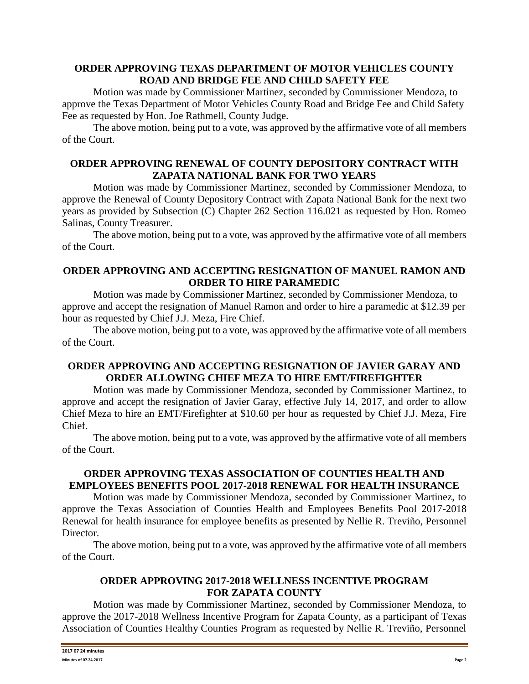#### **ORDER APPROVING TEXAS DEPARTMENT OF MOTOR VEHICLES COUNTY ROAD AND BRIDGE FEE AND CHILD SAFETY FEE**

Motion was made by Commissioner Martinez, seconded by Commissioner Mendoza, to approve the Texas Department of Motor Vehicles County Road and Bridge Fee and Child Safety Fee as requested by Hon. Joe Rathmell, County Judge.

The above motion, being put to a vote, was approved by the affirmative vote of all members of the Court.

## **ORDER APPROVING RENEWAL OF COUNTY DEPOSITORY CONTRACT WITH ZAPATA NATIONAL BANK FOR TWO YEARS**

Motion was made by Commissioner Martinez, seconded by Commissioner Mendoza, to approve the Renewal of County Depository Contract with Zapata National Bank for the next two years as provided by Subsection (C) Chapter 262 Section 116.021 as requested by Hon. Romeo Salinas, County Treasurer.

The above motion, being put to a vote, was approved by the affirmative vote of all members of the Court.

## **ORDER APPROVING AND ACCEPTING RESIGNATION OF MANUEL RAMON AND ORDER TO HIRE PARAMEDIC**

Motion was made by Commissioner Martinez, seconded by Commissioner Mendoza, to approve and accept the resignation of Manuel Ramon and order to hire a paramedic at \$12.39 per hour as requested by Chief J.J. Meza, Fire Chief.

The above motion, being put to a vote, was approved by the affirmative vote of all members of the Court.

## **ORDER APPROVING AND ACCEPTING RESIGNATION OF JAVIER GARAY AND ORDER ALLOWING CHIEF MEZA TO HIRE EMT/FIREFIGHTER**

Motion was made by Commissioner Mendoza, seconded by Commissioner Martinez, to approve and accept the resignation of Javier Garay, effective July 14, 2017, and order to allow Chief Meza to hire an EMT/Firefighter at \$10.60 per hour as requested by Chief J.J. Meza, Fire Chief.

The above motion, being put to a vote, was approved by the affirmative vote of all members of the Court.

# **ORDER APPROVING TEXAS ASSOCIATION OF COUNTIES HEALTH AND EMPLOYEES BENEFITS POOL 2017-2018 RENEWAL FOR HEALTH INSURANCE**

Motion was made by Commissioner Mendoza, seconded by Commissioner Martinez, to approve the Texas Association of Counties Health and Employees Benefits Pool 2017-2018 Renewal for health insurance for employee benefits as presented by Nellie R. Treviño, Personnel Director.

The above motion, being put to a vote, was approved by the affirmative vote of all members of the Court.

## **ORDER APPROVING 2017-2018 WELLNESS INCENTIVE PROGRAM FOR ZAPATA COUNTY**

Motion was made by Commissioner Martinez, seconded by Commissioner Mendoza, to approve the 2017-2018 Wellness Incentive Program for Zapata County, as a participant of Texas Association of Counties Healthy Counties Program as requested by Nellie R. Treviño, Personnel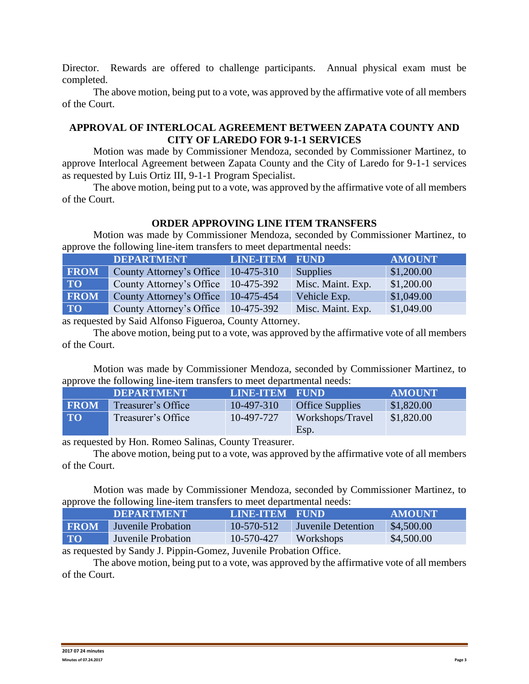Director. Rewards are offered to challenge participants. Annual physical exam must be completed.

The above motion, being put to a vote, was approved by the affirmative vote of all members of the Court.

## **APPROVAL OF INTERLOCAL AGREEMENT BETWEEN ZAPATA COUNTY AND CITY OF LAREDO FOR 9-1-1 SERVICES**

Motion was made by Commissioner Mendoza, seconded by Commissioner Martinez, to approve Interlocal Agreement between Zapata County and the City of Laredo for 9-1-1 services as requested by Luis Ortiz III, 9-1-1 Program Specialist.

The above motion, being put to a vote, was approved by the affirmative vote of all members of the Court.

## **ORDER APPROVING LINE ITEM TRANSFERS**

Motion was made by Commissioner Mendoza, seconded by Commissioner Martinez, to approve the following line-item transfers to meet departmental needs:

|             | <b>DEPARTMENT</b>                     | <b>LINE-ITEM FUND</b> |                   | <b>AMOUNT</b> |
|-------------|---------------------------------------|-----------------------|-------------------|---------------|
| <b>FROM</b> | County Attorney's Office   10-475-310 |                       | Supplies          | \$1,200.00    |
| <b>TO</b>   | County Attorney's Office 10-475-392   |                       | Misc. Maint. Exp. | \$1,200.00    |
| <b>FROM</b> | County Attorney's Office 10-475-454   |                       | Vehicle Exp.      | \$1,049.00    |
| <b>TO</b>   | County Attorney's Office 10-475-392   |                       | Misc. Maint. Exp. | \$1,049.00    |

as requested by Said Alfonso Figueroa, County Attorney.

The above motion, being put to a vote, was approved by the affirmative vote of all members of the Court.

Motion was made by Commissioner Mendoza, seconded by Commissioner Martinez, to approve the following line-item transfers to meet departmental needs:

|             | <b>DEPARTMENT</b>  | <b>LINE-ITEM FUND</b> |                        | <b>AMOUNT</b> |
|-------------|--------------------|-----------------------|------------------------|---------------|
| <b>FROM</b> | Treasurer's Office | 10-497-310            | <b>Office Supplies</b> | \$1,820.00    |
| <b>TO</b>   | Treasurer's Office | 10-497-727            | Workshops/Travel       | \$1,820.00    |
|             |                    |                       | Esp.                   |               |

as requested by Hon. Romeo Salinas, County Treasurer.

The above motion, being put to a vote, was approved by the affirmative vote of all members of the Court.

Motion was made by Commissioner Mendoza, seconded by Commissioner Martinez, to approve the following line-item transfers to meet departmental needs:

|             | <b>DEPARTMENT</b>  | LINE-ITEM FUND |                           | <b>AMOUNT</b> |
|-------------|--------------------|----------------|---------------------------|---------------|
| <b>FROM</b> | Juvenile Probation | $10-570-512$   | <b>Juvenile Detention</b> | \$4,500.00    |
| <b>TO</b>   | Juvenile Probation | 10-570-427     | Workshops                 | \$4,500.00    |

as requested by Sandy J. Pippin-Gomez, Juvenile Probation Office.

The above motion, being put to a vote, was approved by the affirmative vote of all members of the Court.